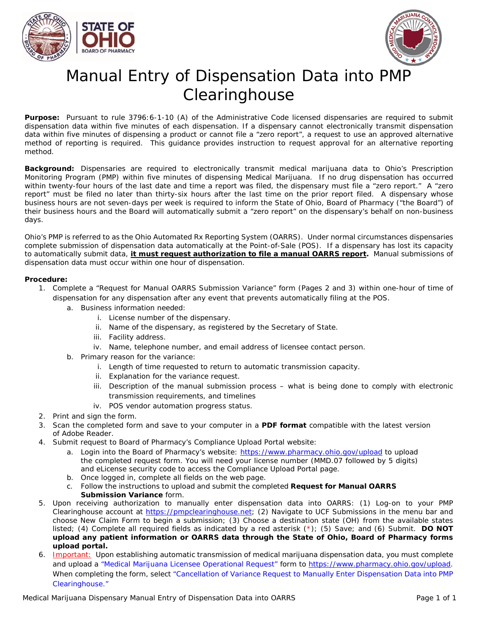



# Manual Entry of Dispensation Data into PMP **Clearinghouse**

**Purpose:** Pursuant to rule 3796:6-1-10 (A) of the Administrative Code licensed dispensaries are required to submit dispensation data within five minutes of each dispensation. If a dispensary cannot electronically transmit dispensation data within five minutes of dispensing a product or cannot file a "zero report", a request to use an approved alternative method of reporting is required. This guidance provides instruction to request approval for an alternative reporting method.

**Background:** Dispensaries are required to electronically transmit medical marijuana data to Ohio's Prescription Monitoring Program (PMP) within five minutes of dispensing Medical Marijuana. If no drug dispensation has occurred within twenty-four hours of the last date and time a report was filed, the dispensary must file a "zero report." A "zero report" must be filed no later than thirty-six hours after the last time on the prior report filed. A dispensary whose business hours are not seven-days per week is required to inform the State of Ohio, Board of Pharmacy ("the Board") of their business hours and the Board will automatically submit a "zero report" on the dispensary's behalf on non-business days.

Ohio's PMP is referred to as the Ohio Automated Rx Reporting System (OARRS). Under normal circumstances dispensaries complete submission of dispensation data automatically at the Point-of-Sale (POS). If a dispensary has lost its capacity to automatically submit data, **it must request authorization to file a manual OARRS report.** Manual submissions of dispensation data must occur within one hour of dispensation.

#### **Procedure:**

- 1. Complete a "Request for Manual OARRS Submission Variance" form (Pages 2 and 3) within one-hour of time of dispensation for any dispensation after any event that prevents automatically filing at the POS.
	- a. Business information needed:
		- i. License number of the dispensary.
		- ii. Name of the dispensary, as registered by the Secretary of State.
		- iii. Facility address.
		- iv. Name, telephone number, and email address of licensee contact person.
	- b. Primary reason for the variance:
		- i. Length of time requested to return to automatic transmission capacity.
		- ii. Explanation for the variance request.
		- iii. Description of the manual submission process what is being done to comply with electronic transmission requirements, and timelines
		- iv. POS vendor automation progress status.
- 2. Print and sign the form.
- 3. Scan the completed form and save to your computer in a **PDF format** compatible with the latest version of Adobe Reader.
- 4. Submit request to Board of Pharmacy's Compliance Upload Portal website:
	- a. Login into the Board of Pharmacy's website: <https://www.pharmacy.ohio.gov/upload> to upload the completed request form. You will need your license number (MMD.07 followed by 5 digits) and eLicense security code to access the Compliance Upload Portal page.
	- b. Once logged in, complete all fields on the web page.
	- c. Follow the instructions to upload and submit the completed **Request for Manual OARRS Submission Variance** form.
- 5. Upon receiving authorization to manually enter dispensation data into OARRS: (1) Log-on to your PMP Clearinghouse account at [https://pmpclearinghouse.net;](https://pmpclearinghouse.net/) (2) Navigate to UCF Submissions in the menu bar and choose New Claim Form to begin a submission; (3) Choose a destination state (OH) from the available states listed; (4) Complete all required fields as indicated by a red asterisk (\*); (5) Save; and (6) Submit. **DO NOT upload any patient information or OARRS data through the State of Ohio, Board of Pharmacy forms upload portal.**
- 6. Important: Upon establishing automatic transmission of medical marijuana dispensation data, you must complete and upload a "Medical Marijuana Licensee Operational Request" form to [https://www.pharmacy.ohio.gov/upload.](https://www.pharmacy.ohio.gov/upload) When completing the form, select "Cancellation of Variance Request to Manually Enter Dispensation Data into PMP Clearinghouse."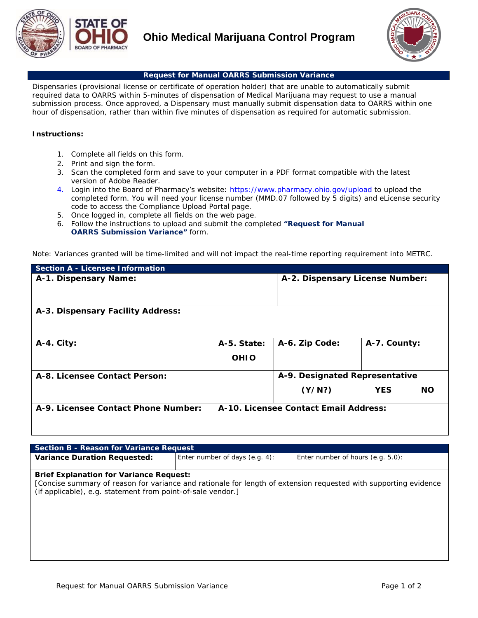



#### **Request for Manual OARRS Submission Variance**

Dispensaries (provisional license or certificate of operation holder) that are unable to automatically submit required data to OARRS within 5-minutes of dispensation of Medical Marijuana may request to use a manual submission process. Once approved, a Dispensary must manually submit dispensation data to OARRS within one hour of dispensation, rather than within five minutes of dispensation as required for automatic submission.

#### **Instructions:**

- *1.* Complete all fields on this form.
- *2.* Print and sign the form.
- *3.* Scan the completed form and save to your computer in a PDF format compatible with the latest version of Adobe Reader.
- *4.* Login into the Board of Pharmacy's website: <https://www.pharmacy.ohio.gov/upload> to upload the completed form. You will need your license number (MMD.07 followed by 5 digits) and eLicense security code to access the Compliance Upload Portal page.
- *5.* Once logged in, complete all fields on the web page.
- *6.* Follow the instructions to upload and submit the completed **"Request for Manual OARRS Submission Variance"** form.

Note: Variances granted will be time-limited and will not impact the real-time reporting requirement into METRC.

| <b>Section A - Licensee Information</b> |             |                                       |                         |  |  |
|-----------------------------------------|-------------|---------------------------------------|-------------------------|--|--|
| A-1. Dispensary Name:                   |             | A-2. Dispensary License Number:       |                         |  |  |
| A-3. Dispensary Facility Address:       |             |                                       |                         |  |  |
| A-4. City:                              | A-5. State: | A-6. Zip Code:                        | A-7. County:            |  |  |
|                                         | <b>OHIO</b> |                                       |                         |  |  |
| A-8. Licensee Contact Person:           |             | A-9. Designated Representative        |                         |  |  |
|                                         |             | (Y/N?)                                | <b>NO</b><br><b>YES</b> |  |  |
| A-9. Licensee Contact Phone Number:     |             | A-10. Licensee Contact Email Address: |                         |  |  |

| Section B - Reason for Variance Request                                                                       |                                   |                                                                                                                  |  |  |  |  |
|---------------------------------------------------------------------------------------------------------------|-----------------------------------|------------------------------------------------------------------------------------------------------------------|--|--|--|--|
| <b>Variance Duration Requested:</b>                                                                           | Enter number of days $(e.g. 4)$ : | Enter number of hours (e.g. 5.0):                                                                                |  |  |  |  |
| <b>Brief Explanation for Variance Request:</b><br>(if applicable), e.g. statement from point-of-sale vendor.] |                                   | [Concise summary of reason for variance and rationale for length of extension requested with supporting evidence |  |  |  |  |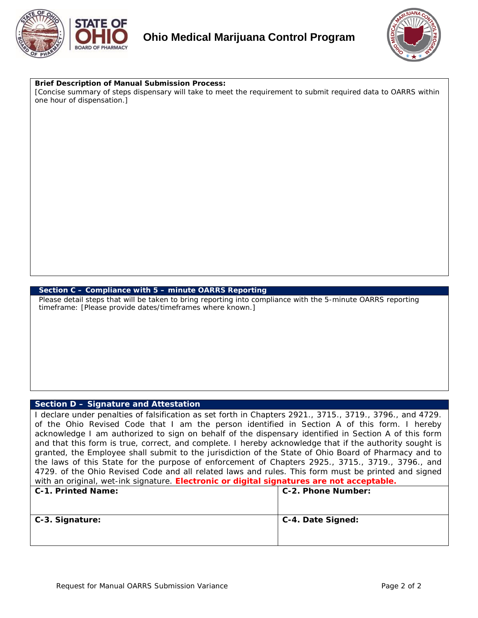



#### **Brief Description of Manual Submission Process:**

*[Concise summary of steps dispensary will take to meet the requirement to submit required data to OARRS within one hour of dispensation.]*

#### **Section C – Compliance with 5 – minute OARRS Reporting**

Please detail steps that will be taken to bring reporting into compliance with the 5-minute OARRS reporting timeframe: *[Please provide dates/timeframes where known.]*

### **Section D – Signature and Attestation**

*I declare under penalties of falsification as set forth in Chapters 2921., 3715., 3719., 3796., and 4729. of the Ohio Revised Code that I am the person identified in Section A of this form. I hereby acknowledge I am authorized to sign on behalf of the dispensary identified in Section A of this form and that this form is true, correct, and complete. I hereby acknowledge that if the authority sought is granted, the Employee shall submit to the jurisdiction of the State of Ohio Board of Pharmacy and to the laws of this State for the purpose of enforcement of Chapters 2925., 3715., 3719., 3796., and 4729. of the Ohio Revised Code and all related laws and rules. This form must be printed and signed with an original, wet-ink signature. Electronic or digital signatures are not acceptable.*

| C-1. Printed Name: | C-2. Phone Number: |
|--------------------|--------------------|
| C-3. Signature:    | C-4. Date Signed:  |